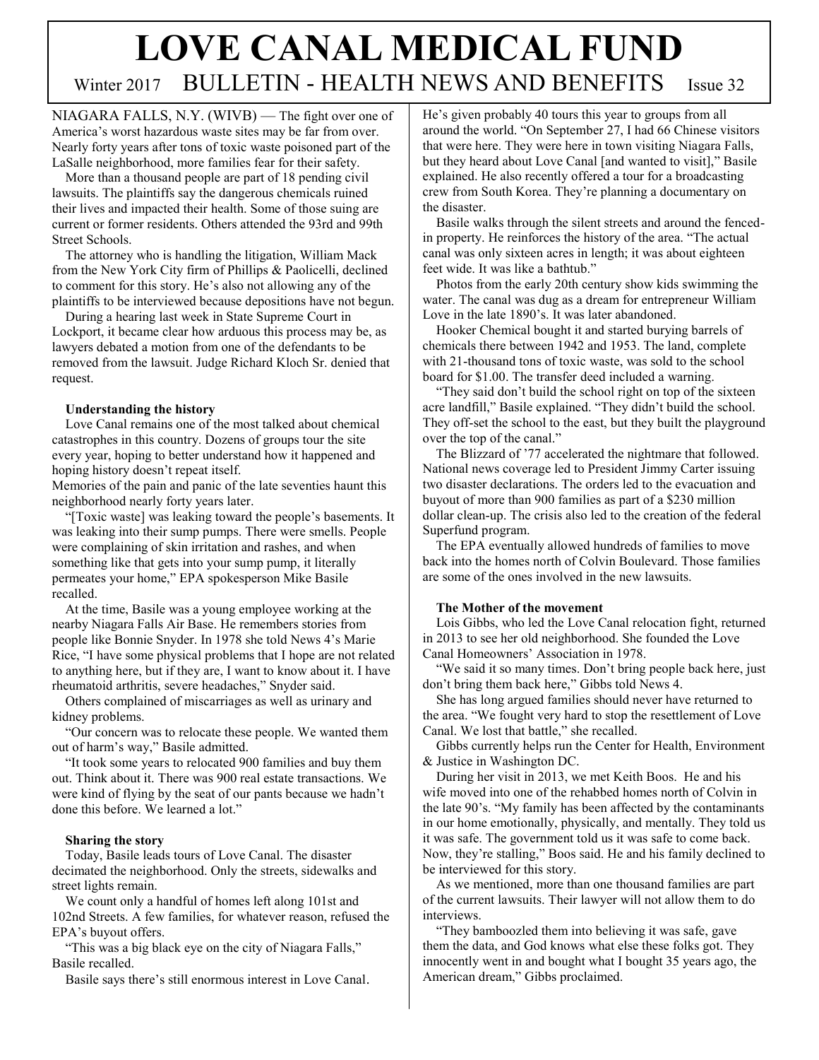# **LOVE CANAL MEDICAL FUND** Winter 2017 BULLETIN - HEALTH NEWS AND BENEFITS Issue 32

NIAGARA FALLS, N.Y. (WIVB) — The fight over one of America's worst hazardous waste sites may be far from over. Nearly forty years after tons of toxic waste poisoned part of the LaSalle neighborhood, more families fear for their safety.

 More than a thousand people are part of 18 pending civil lawsuits. The plaintiffs say the dangerous chemicals ruined their lives and impacted their health. Some of those suing are current or former residents. Others attended the 93rd and 99th Street Schools.

 The attorney who is handling the litigation, William Mack from the New York City firm of Phillips & Paolicelli, declined to comment for this story. He's also not allowing any of the plaintiffs to be interviewed because depositions have not begun.

 During a hearing last week in State Supreme Court in Lockport, it became clear how arduous this process may be, as lawyers debated a motion from one of the defendants to be removed from the lawsuit. Judge Richard Kloch Sr. denied that request.

# **Understanding the history**

 Love Canal remains one of the most talked about chemical catastrophes in this country. Dozens of groups tour the site every year, hoping to better understand how it happened and hoping history doesn't repeat itself.

Memories of the pain and panic of the late seventies haunt this neighborhood nearly forty years later.

 "[Toxic waste] was leaking toward the people's basements. It was leaking into their sump pumps. There were smells. People were complaining of skin irritation and rashes, and when something like that gets into your sump pump, it literally permeates your home," EPA spokesperson Mike Basile recalled.

 At the time, Basile was a young employee working at the nearby Niagara Falls Air Base. He remembers stories from people like Bonnie Snyder. In 1978 she told News 4's Marie Rice, "I have some physical problems that I hope are not related to anything here, but if they are, I want to know about it. I have rheumatoid arthritis, severe headaches," Snyder said.

 Others complained of miscarriages as well as urinary and kidney problems.

 "Our concern was to relocate these people. We wanted them out of harm's way," Basile admitted.

 "It took some years to relocated 900 families and buy them out. Think about it. There was 900 real estate transactions. We were kind of flying by the seat of our pants because we hadn't done this before. We learned a lot."

# **Sharing the story**

 Today, Basile leads tours of Love Canal. The disaster decimated the neighborhood. Only the streets, sidewalks and street lights remain.

 We count only a handful of homes left along 101st and 102nd Streets. A few families, for whatever reason, refused the EPA's buyout offers.

 "This was a big black eye on the city of Niagara Falls," Basile recalled.

Basile says there's still enormous interest in Love Canal.

He's given probably 40 tours this year to groups from all around the world. "On September 27, I had 66 Chinese visitors that were here. They were here in town visiting Niagara Falls, but they heard about Love Canal [and wanted to visit]," Basile explained. He also recently offered a tour for a broadcasting crew from South Korea. They're planning a documentary on the disaster.

 Basile walks through the silent streets and around the fencedin property. He reinforces the history of the area. "The actual canal was only sixteen acres in length; it was about eighteen feet wide. It was like a bathtub."

 Photos from the early 20th century show kids swimming the water. The canal was dug as a dream for entrepreneur William Love in the late 1890's. It was later abandoned.

 Hooker Chemical bought it and started burying barrels of chemicals there between 1942 and 1953. The land, complete with 21-thousand tons of toxic waste, was sold to the school board for \$1.00. The transfer deed included a warning.

 "They said don't build the school right on top of the sixteen acre landfill," Basile explained. "They didn't build the school. They off-set the school to the east, but they built the playground over the top of the canal."

 The Blizzard of '77 accelerated the nightmare that followed. National news coverage led to President Jimmy Carter issuing two disaster declarations. The orders led to the evacuation and buyout of more than 900 families as part of a \$230 million dollar clean-up. The crisis also led to the creation of the federal Superfund program.

 The EPA eventually allowed hundreds of families to move back into the homes north of Colvin Boulevard. Those families are some of the ones involved in the new lawsuits.

# **The Mother of the movement**

 Lois Gibbs, who led the Love Canal relocation fight, returned in 2013 to see her old neighborhood. She founded the Love Canal Homeowners' Association in 1978.

 "We said it so many times. Don't bring people back here, just don't bring them back here," Gibbs told News 4.

 She has long argued families should never have returned to the area. "We fought very hard to stop the resettlement of Love Canal. We lost that battle," she recalled.

 Gibbs currently helps run the Center for Health, Environment & Justice in Washington DC.

 During her visit in 2013, we met Keith Boos. He and his wife moved into one of the rehabbed homes north of Colvin in the late 90's. "My family has been affected by the contaminants in our home emotionally, physically, and mentally. They told us it was safe. The government told us it was safe to come back. Now, they're stalling," Boos said. He and his family declined to be interviewed for this story.

 As we mentioned, more than one thousand families are part of the current lawsuits. Their lawyer will not allow them to do interviews.

 "They bamboozled them into believing it was safe, gave them the data, and God knows what else these folks got. They innocently went in and bought what I bought 35 years ago, the American dream," Gibbs proclaimed.